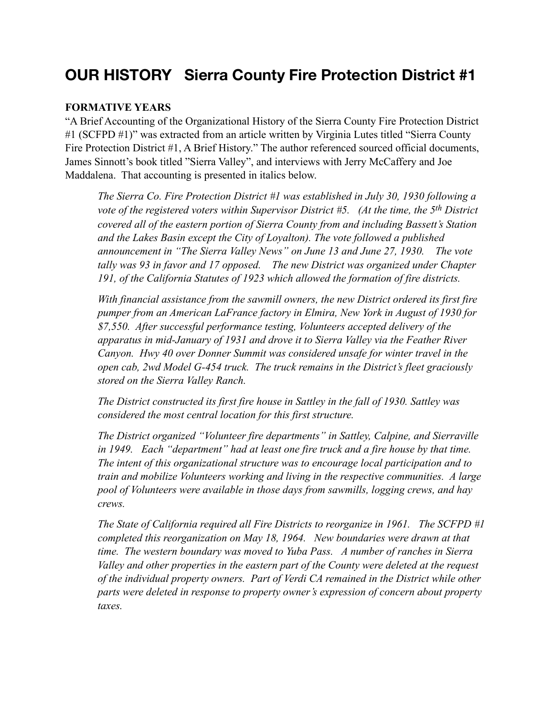# **OUR HISTORY Sierra County Fire Protection District #1**

#### **FORMATIVE YEARS**

"A Brief Accounting of the Organizational History of the Sierra County Fire Protection District #1 (SCFPD #1)" was extracted from an article written by Virginia Lutes titled "Sierra County" Fire Protection District #1, A Brief History." The author referenced sourced official documents, James Sinnott's book titled "Sierra Valley", and interviews with Jerry McCaffery and Joe Maddalena. That accounting is presented in italics below.

*The Sierra Co. Fire Protection District #1 was established in July 30, 1930 following a vote of the registered voters within Supervisor District #5. (At the time, the 5th District covered all of the eastern portion of Sierra County from and including Bassett's Station*  and the Lakes Basin except the City of Loyalton). The vote followed a published *announcement in "The Sierra Valley News" on June 13 and June 27, 1930. The vote tally was 93 in favor and 17 opposed. The new District was organized under Chapter 191, of the California Statutes of 1923 which allowed the formation of fire districts.* 

*With financial assistance from the sawmill owners, the new District ordered its first fire pumper from an American LaFrance factory in Elmira, New York in August of 1930 for \$7,550. After successful performance testing, Volunteers accepted delivery of the apparatus in mid-January of 1931 and drove it to Sierra Valley via the Feather River Canyon. Hwy 40 over Donner Summit was considered unsafe for winter travel in the open cab, 2wd Model G-454 truck. The truck remains in the District's fleet graciously stored on the Sierra Valley Ranch.* 

*The District constructed its first fire house in Sattley in the fall of 1930. Sattley was considered the most central location for this first structure.* 

*The District organized "Volunteer fire departments" in Sattley, Calpine, and Sierraville in 1949. Each "department" had at least one fire truck and a fire house by that time. The intent of this organizational structure was to encourage local participation and to train and mobilize Volunteers working and living in the respective communities. A large pool of Volunteers were available in those days from sawmills, logging crews, and hay crews.* 

*The State of California required all Fire Districts to reorganize in 1961. The SCFPD #1 completed this reorganization on May 18, 1964. New boundaries were drawn at that time. The western boundary was moved to Yuba Pass. A number of ranches in Sierra Valley and other properties in the eastern part of the County were deleted at the request of the individual property owners. Part of Verdi CA remained in the District while other parts were deleted in response to property owner's expression of concern about property taxes.*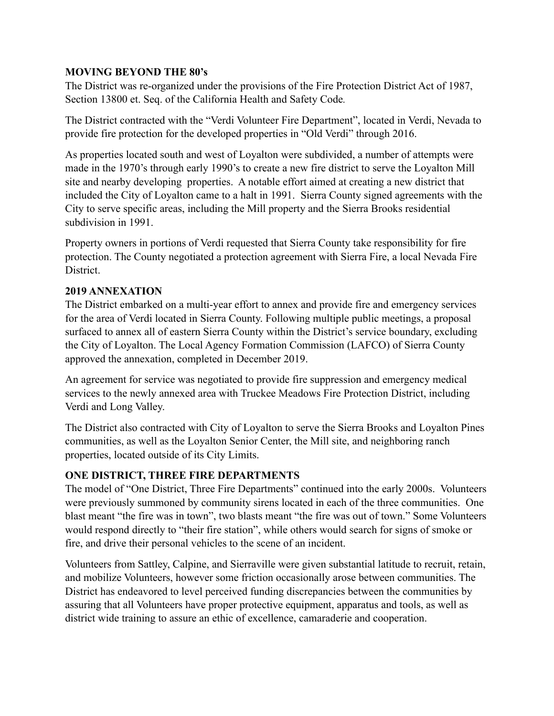#### **MOVING BEYOND THE 80's**

The District was re-organized under the provisions of the Fire Protection District Act of 1987, Section 13800 et. Seq. of the California Health and Safety Code*.* 

The District contracted with the "Verdi Volunteer Fire Department", located in Verdi, Nevada to provide fire protection for the developed properties in "Old Verdi" through 2016.

As properties located south and west of Loyalton were subdivided, a number of attempts were made in the 1970's through early 1990's to create a new fire district to serve the Loyalton Mill site and nearby developing properties. A notable effort aimed at creating a new district that included the City of Loyalton came to a halt in 1991. Sierra County signed agreements with the City to serve specific areas, including the Mill property and the Sierra Brooks residential subdivision in 1991.

Property owners in portions of Verdi requested that Sierra County take responsibility for fire protection. The County negotiated a protection agreement with Sierra Fire, a local Nevada Fire **District** 

# **2019 ANNEXATION**

The District embarked on a multi-year effort to annex and provide fire and emergency services for the area of Verdi located in Sierra County. Following multiple public meetings, a proposal surfaced to annex all of eastern Sierra County within the District's service boundary, excluding the City of Loyalton. The Local Agency Formation Commission (LAFCO) of Sierra County approved the annexation, completed in December 2019.

An agreement for service was negotiated to provide fire suppression and emergency medical services to the newly annexed area with Truckee Meadows Fire Protection District, including Verdi and Long Valley.

The District also contracted with City of Loyalton to serve the Sierra Brooks and Loyalton Pines communities, as well as the Loyalton Senior Center, the Mill site, and neighboring ranch properties, located outside of its City Limits.

# **ONE DISTRICT, THREE FIRE DEPARTMENTS**

The model of "One District, Three Fire Departments" continued into the early 2000s. Volunteers were previously summoned by community sirens located in each of the three communities. One blast meant "the fire was in town", two blasts meant "the fire was out of town." Some Volunteers would respond directly to "their fire station", while others would search for signs of smoke or fire, and drive their personal vehicles to the scene of an incident.

Volunteers from Sattley, Calpine, and Sierraville were given substantial latitude to recruit, retain, and mobilize Volunteers, however some friction occasionally arose between communities. The District has endeavored to level perceived funding discrepancies between the communities by assuring that all Volunteers have proper protective equipment, apparatus and tools, as well as district wide training to assure an ethic of excellence, camaraderie and cooperation.